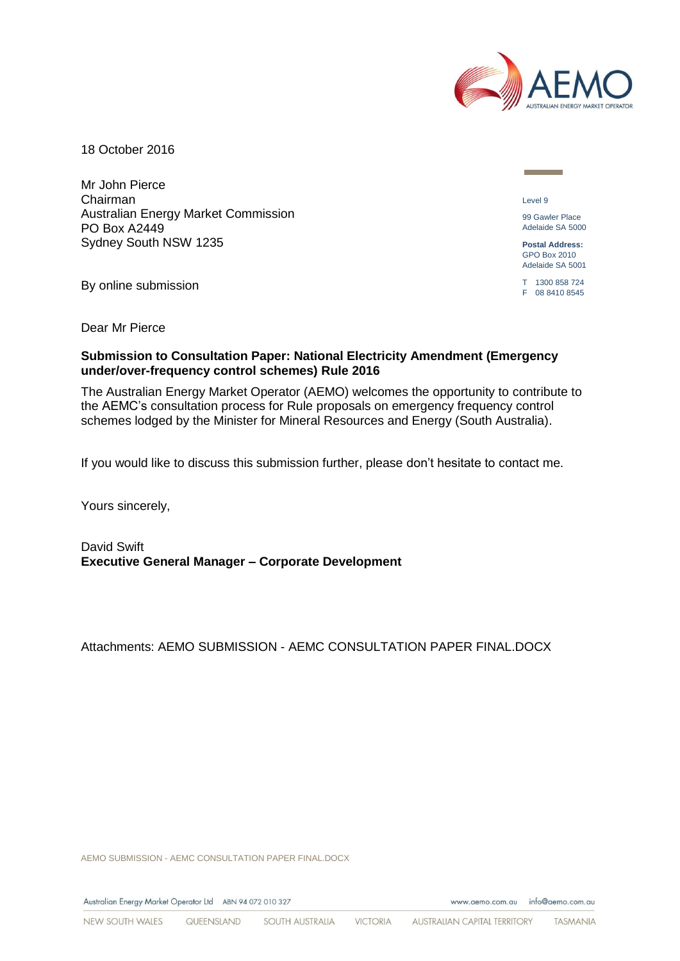

18 October 2016

Mr John Pierce Chairman Australian Energy Market Commission PO Box A2449 Sydney South NSW 1235

By online submission

Level 9

99 Gawler Place Adelaide SA 5000

**Postal Address:** GPO Box 2010 Adelaide SA 5001

T 1300 858 724 F 08 8410 8545

Dear Mr Pierce

#### **Submission to Consultation Paper: National Electricity Amendment (Emergency under/over-frequency control schemes) Rule 2016**

The Australian Energy Market Operator (AEMO) welcomes the opportunity to contribute to the AEMC's consultation process for Rule proposals on emergency frequency control schemes lodged by the Minister for Mineral Resources and Energy (South Australia).

If you would like to discuss this submission further, please don't hesitate to contact me.

Yours sincerely,

David Swift **Executive General Manager – Corporate Development**

Attachments: AEMO SUBMISSION - AEMC CONSULTATION PAPER FINAL.DOCX

AEMO SUBMISSION - AEMC CONSULTATION PAPER FINAL.DOCX

Australian Energy Market Operator Ltd ABN 94 072 010 327

www.aemo.com.au info@aemo.com.au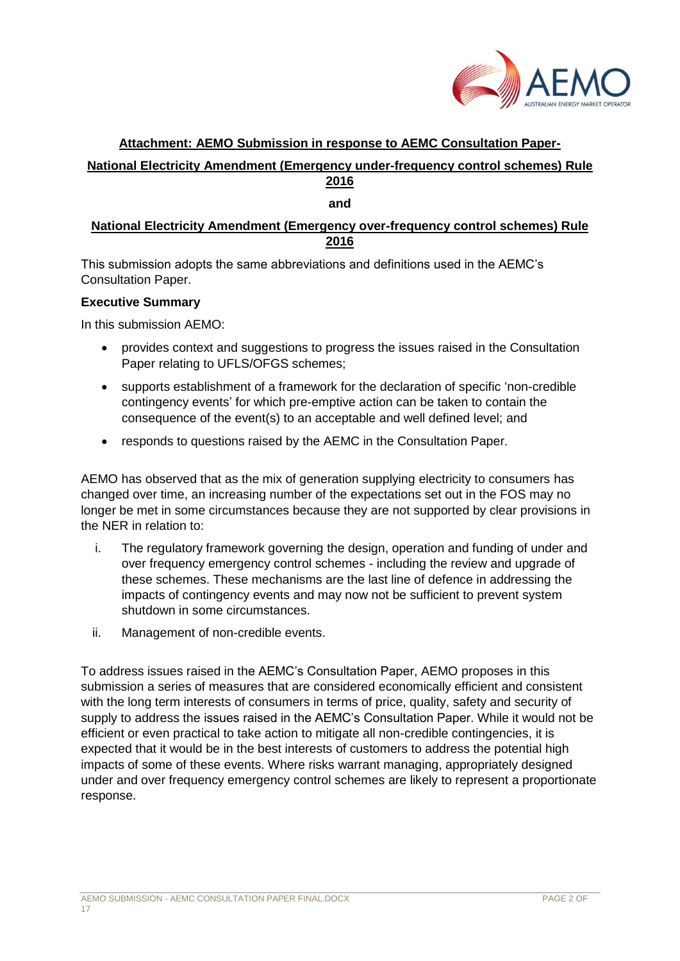

# **Attachment: AEMO Submission in response to AEMC Consultation Paper-**

# **National Electricity Amendment (Emergency under-frequency control schemes) Rule 2016**

#### **and**

# **National Electricity Amendment (Emergency over-frequency control schemes) Rule 2016**

This submission adopts the same abbreviations and definitions used in the AEMC's Consultation Paper.

#### **Executive Summary**

In this submission AEMO:

- provides context and suggestions to progress the issues raised in the Consultation Paper relating to UFLS/OFGS schemes;
- supports establishment of a framework for the declaration of specific 'non-credible contingency events' for which pre-emptive action can be taken to contain the consequence of the event(s) to an acceptable and well defined level; and
- responds to questions raised by the AEMC in the Consultation Paper.

AEMO has observed that as the mix of generation supplying electricity to consumers has changed over time, an increasing number of the expectations set out in the FOS may no longer be met in some circumstances because they are not supported by clear provisions in the NER in relation to:

- i. The regulatory framework governing the design, operation and funding of under and over frequency emergency control schemes - including the review and upgrade of these schemes. These mechanisms are the last line of defence in addressing the impacts of contingency events and may now not be sufficient to prevent system shutdown in some circumstances.
- ii. Management of non-credible events.

To address issues raised in the AEMC's Consultation Paper, AEMO proposes in this submission a series of measures that are considered economically efficient and consistent with the long term interests of consumers in terms of price, quality, safety and security of supply to address the issues raised in the AEMC's Consultation Paper. While it would not be efficient or even practical to take action to mitigate all non-credible contingencies, it is expected that it would be in the best interests of customers to address the potential high impacts of some of these events. Where risks warrant managing, appropriately designed under and over frequency emergency control schemes are likely to represent a proportionate response.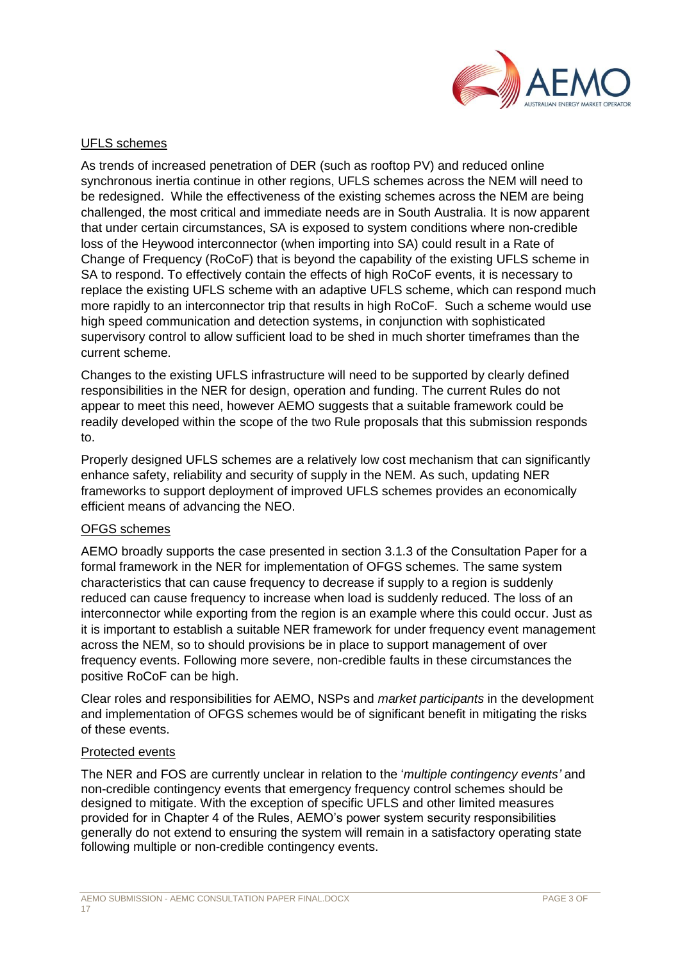

# UFLS schemes

As trends of increased penetration of DER (such as rooftop PV) and reduced online synchronous inertia continue in other regions, UFLS schemes across the NEM will need to be redesigned. While the effectiveness of the existing schemes across the NEM are being challenged, the most critical and immediate needs are in South Australia. It is now apparent that under certain circumstances, SA is exposed to system conditions where non-credible loss of the Heywood interconnector (when importing into SA) could result in a Rate of Change of Frequency (RoCoF) that is beyond the capability of the existing UFLS scheme in SA to respond. To effectively contain the effects of high RoCoF events, it is necessary to replace the existing UFLS scheme with an adaptive UFLS scheme, which can respond much more rapidly to an interconnector trip that results in high RoCoF. Such a scheme would use high speed communication and detection systems, in conjunction with sophisticated supervisory control to allow sufficient load to be shed in much shorter timeframes than the current scheme.

Changes to the existing UFLS infrastructure will need to be supported by clearly defined responsibilities in the NER for design, operation and funding. The current Rules do not appear to meet this need, however AEMO suggests that a suitable framework could be readily developed within the scope of the two Rule proposals that this submission responds to.

Properly designed UFLS schemes are a relatively low cost mechanism that can significantly enhance safety, reliability and security of supply in the NEM. As such, updating NER frameworks to support deployment of improved UFLS schemes provides an economically efficient means of advancing the NEO.

### OFGS schemes

AEMO broadly supports the case presented in section 3.1.3 of the Consultation Paper for a formal framework in the NER for implementation of OFGS schemes. The same system characteristics that can cause frequency to decrease if supply to a region is suddenly reduced can cause frequency to increase when load is suddenly reduced. The loss of an interconnector while exporting from the region is an example where this could occur. Just as it is important to establish a suitable NER framework for under frequency event management across the NEM, so to should provisions be in place to support management of over frequency events. Following more severe, non-credible faults in these circumstances the positive RoCoF can be high.

Clear roles and responsibilities for AEMO, NSPs and *market participants* in the development and implementation of OFGS schemes would be of significant benefit in mitigating the risks of these events.

#### Protected events

The NER and FOS are currently unclear in relation to the '*multiple contingency events'* and non-credible contingency events that emergency frequency control schemes should be designed to mitigate. With the exception of specific UFLS and other limited measures provided for in Chapter 4 of the Rules, AEMO's power system security responsibilities generally do not extend to ensuring the system will remain in a satisfactory operating state following multiple or non-credible contingency events.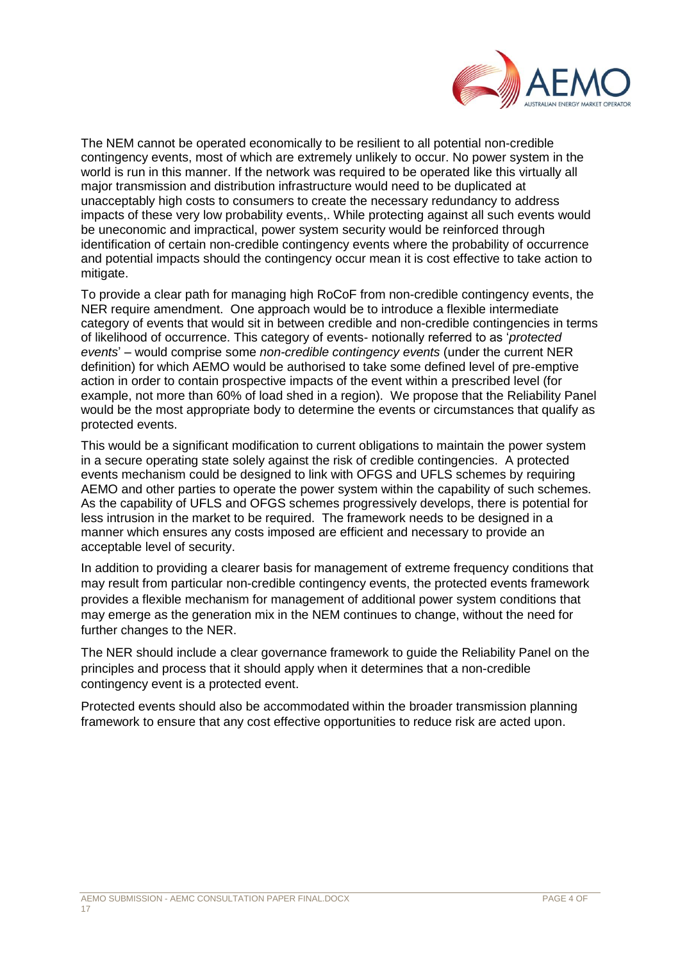

The NEM cannot be operated economically to be resilient to all potential non-credible contingency events, most of which are extremely unlikely to occur. No power system in the world is run in this manner. If the network was required to be operated like this virtually all major transmission and distribution infrastructure would need to be duplicated at unacceptably high costs to consumers to create the necessary redundancy to address impacts of these very low probability events,. While protecting against all such events would be uneconomic and impractical, power system security would be reinforced through identification of certain non-credible contingency events where the probability of occurrence and potential impacts should the contingency occur mean it is cost effective to take action to mitigate.

To provide a clear path for managing high RoCoF from non-credible contingency events, the NER require amendment. One approach would be to introduce a flexible intermediate category of events that would sit in between credible and non-credible contingencies in terms of likelihood of occurrence. This category of events- notionally referred to as '*protected events*' – would comprise some *non-credible contingency events* (under the current NER definition) for which AEMO would be authorised to take some defined level of pre-emptive action in order to contain prospective impacts of the event within a prescribed level (for example, not more than 60% of load shed in a region). We propose that the Reliability Panel would be the most appropriate body to determine the events or circumstances that qualify as protected events.

This would be a significant modification to current obligations to maintain the power system in a secure operating state solely against the risk of credible contingencies. A protected events mechanism could be designed to link with OFGS and UFLS schemes by requiring AEMO and other parties to operate the power system within the capability of such schemes. As the capability of UFLS and OFGS schemes progressively develops, there is potential for less intrusion in the market to be required. The framework needs to be designed in a manner which ensures any costs imposed are efficient and necessary to provide an acceptable level of security.

In addition to providing a clearer basis for management of extreme frequency conditions that may result from particular non-credible contingency events, the protected events framework provides a flexible mechanism for management of additional power system conditions that may emerge as the generation mix in the NEM continues to change, without the need for further changes to the NER.

The NER should include a clear governance framework to guide the Reliability Panel on the principles and process that it should apply when it determines that a non-credible contingency event is a protected event.

Protected events should also be accommodated within the broader transmission planning framework to ensure that any cost effective opportunities to reduce risk are acted upon.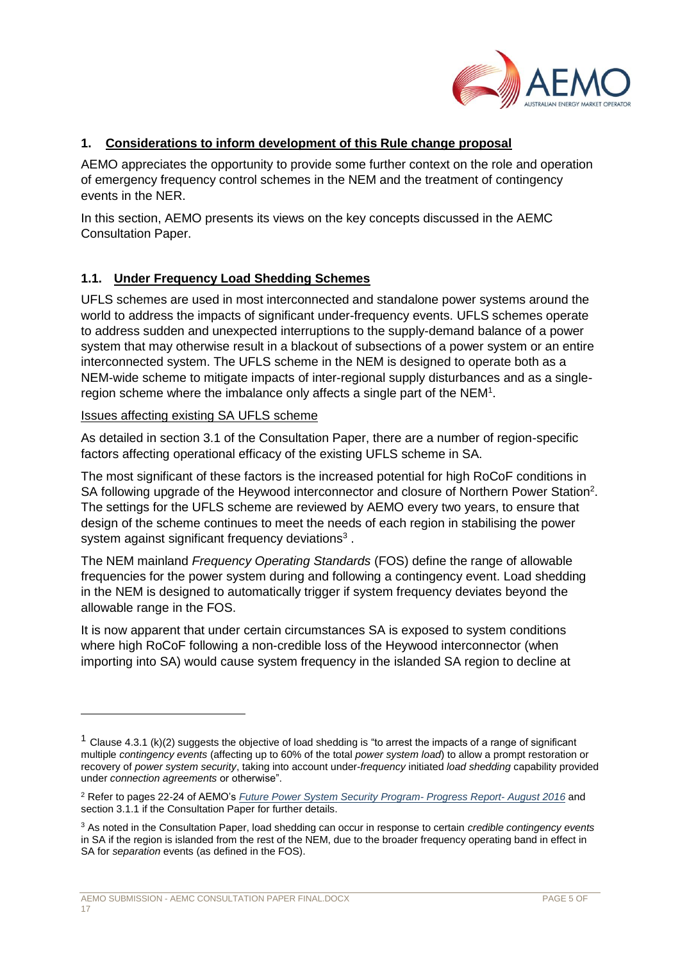

# **1. Considerations to inform development of this Rule change proposal**

AEMO appreciates the opportunity to provide some further context on the role and operation of emergency frequency control schemes in the NEM and the treatment of contingency events in the NER.

In this section, AEMO presents its views on the key concepts discussed in the AEMC Consultation Paper.

# **1.1. Under Frequency Load Shedding Schemes**

UFLS schemes are used in most interconnected and standalone power systems around the world to address the impacts of significant under-frequency events. UFLS schemes operate to address sudden and unexpected interruptions to the supply-demand balance of a power system that may otherwise result in a blackout of subsections of a power system or an entire interconnected system. The UFLS scheme in the NEM is designed to operate both as a NEM-wide scheme to mitigate impacts of inter-regional supply disturbances and as a singleregion scheme where the imbalance only affects a single part of the NEM<sup>1</sup>.

#### Issues affecting existing SA UFLS scheme

As detailed in section 3.1 of the Consultation Paper, there are a number of region-specific factors affecting operational efficacy of the existing UFLS scheme in SA.

The most significant of these factors is the increased potential for high RoCoF conditions in SA following upgrade of the Heywood interconnector and closure of Northern Power Station<sup>2</sup>. The settings for the UFLS scheme are reviewed by AEMO every two years, to ensure that design of the scheme continues to meet the needs of each region in stabilising the power system against significant frequency deviations<sup>3</sup>.

The NEM mainland *Frequency Operating Standards* (FOS) define the range of allowable frequencies for the power system during and following a contingency event. Load shedding in the NEM is designed to automatically trigger if system frequency deviates beyond the allowable range in the FOS.

It is now apparent that under certain circumstances SA is exposed to system conditions where high RoCoF following a non-credible loss of the Heywood interconnector (when importing into SA) would cause system frequency in the islanded SA region to decline at

<sup>&</sup>lt;sup>1</sup> Clause 4.3.1 (k)(2) suggests the objective of load shedding is "to arrest the impacts of a range of significant multiple *contingency events* (affecting up to 60% of the total *power system load*) to allow a prompt restoration or recovery of *power system security*, taking into account under-*frequency* initiated *load shedding* capability provided under *connection agreements* or otherwise".

<sup>2</sup> Refer to pages 22-24 of AEMO's *[Future Power System Security Program-](https://www.aemo.com.au/Electricity/National-Electricity-Market-NEM/Security-and-reliability/-/media/823E457AEA5E43BE83DDD56767126BF2.ashx) Progress Report- August 2016* and section 3.1.1 if the Consultation Paper for further details.

<sup>3</sup> As noted in the Consultation Paper, load shedding can occur in response to certain *credible contingency events* in SA if the region is islanded from the rest of the NEM, due to the broader frequency operating band in effect in SA for *separation* events (as defined in the FOS).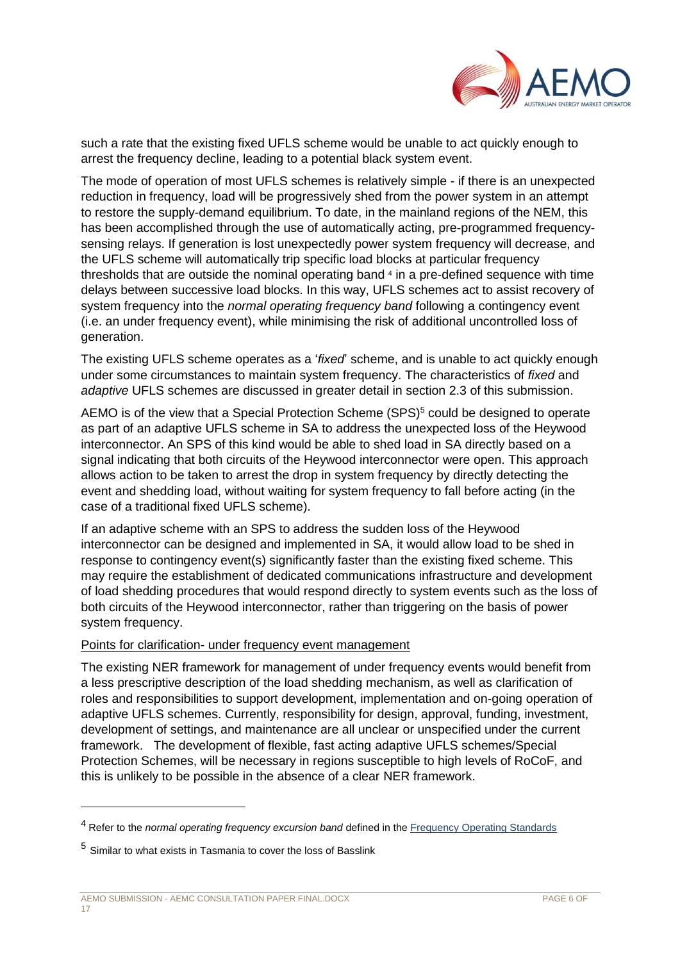

such a rate that the existing fixed UFLS scheme would be unable to act quickly enough to arrest the frequency decline, leading to a potential black system event.

The mode of operation of most UFLS schemes is relatively simple - if there is an unexpected reduction in frequency, load will be progressively shed from the power system in an attempt to restore the supply-demand equilibrium. To date, in the mainland regions of the NEM, this has been accomplished through the use of automatically acting, pre-programmed frequencysensing relays. If generation is lost unexpectedly power system frequency will decrease, and the UFLS scheme will automatically trip specific load blocks at particular frequency thresholds that are outside the nominal operating band <sup>4</sup> in a pre-defined sequence with time delays between successive load blocks. In this way, UFLS schemes act to assist recovery of system frequency into the *normal operating frequency band* following a contingency event (i.e. an under frequency event), while minimising the risk of additional uncontrolled loss of generation.

The existing UFLS scheme operates as a '*fixed*' scheme, and is unable to act quickly enough under some circumstances to maintain system frequency. The characteristics of *fixed* and *adaptive* UFLS schemes are discussed in greater detail in section 2.3 of this submission.

AEMO is of the view that a Special Protection Scheme (SPS)<sup>5</sup> could be designed to operate as part of an adaptive UFLS scheme in SA to address the unexpected loss of the Heywood interconnector. An SPS of this kind would be able to shed load in SA directly based on a signal indicating that both circuits of the Heywood interconnector were open. This approach allows action to be taken to arrest the drop in system frequency by directly detecting the event and shedding load, without waiting for system frequency to fall before acting (in the case of a traditional fixed UFLS scheme).

If an adaptive scheme with an SPS to address the sudden loss of the Heywood interconnector can be designed and implemented in SA, it would allow load to be shed in response to contingency event(s) significantly faster than the existing fixed scheme. This may require the establishment of dedicated communications infrastructure and development of load shedding procedures that would respond directly to system events such as the loss of both circuits of the Heywood interconnector, rather than triggering on the basis of power system frequency.

#### Points for clarification- under frequency event management

The existing NER framework for management of under frequency events would benefit from a less prescriptive description of the load shedding mechanism, as well as clarification of roles and responsibilities to support development, implementation and on-going operation of adaptive UFLS schemes. Currently, responsibility for design, approval, funding, investment, development of settings, and maintenance are all unclear or unspecified under the current framework. The development of flexible, fast acting adaptive UFLS schemes/Special Protection Schemes, will be necessary in regions susceptible to high levels of RoCoF, and this is unlikely to be possible in the absence of a clear NER framework.

<sup>4</sup> Refer to the *normal operating frequency excursion band* defined in the [Frequency Operating Standards](http://www.aemc.gov.au/getattachment/436495bb-89b9-4da6-b258-e24437df9b8a/Frequency-Operating-Standards-(Mainland).aspx)

<sup>5</sup> Similar to what exists in Tasmania to cover the loss of Basslink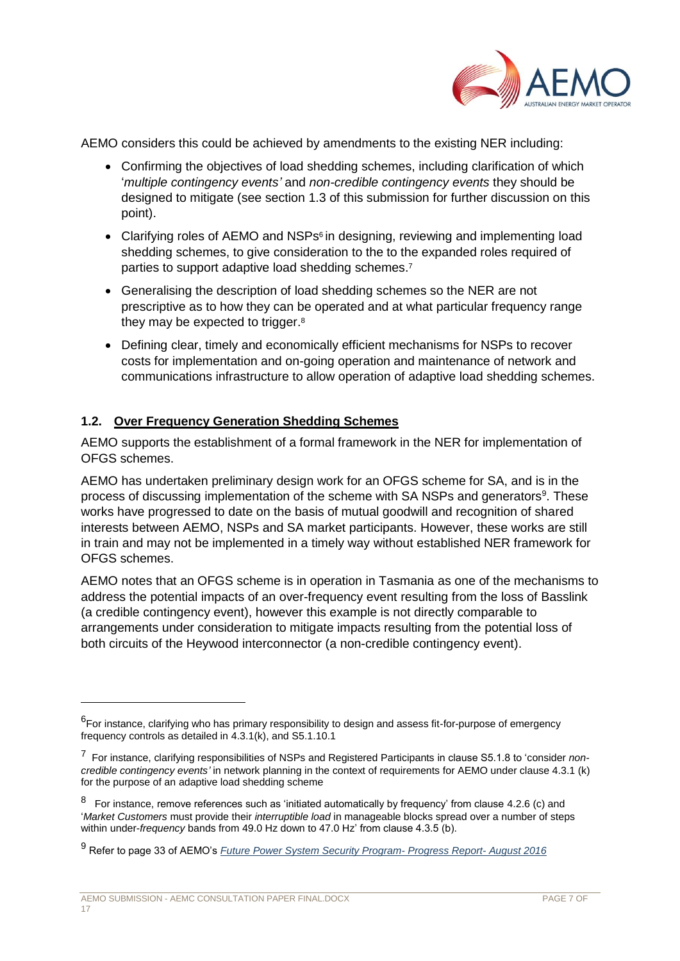

AEMO considers this could be achieved by amendments to the existing NER including:

- Confirming the objectives of load shedding schemes, including clarification of which '*multiple contingency events'* and *non-credible contingency events* they should be designed to mitigate (see section 1.3 of this submission for further discussion on this point).
- Clarifying roles of AEMO and NSPs<sup>6</sup> in designing, reviewing and implementing load shedding schemes, to give consideration to the to the expanded roles required of parties to support adaptive load shedding schemes.<sup>7</sup>
- Generalising the description of load shedding schemes so the NER are not prescriptive as to how they can be operated and at what particular frequency range they may be expected to trigger.<sup>8</sup>
- Defining clear, timely and economically efficient mechanisms for NSPs to recover costs for implementation and on-going operation and maintenance of network and communications infrastructure to allow operation of adaptive load shedding schemes.

### **1.2. Over Frequency Generation Shedding Schemes**

AEMO supports the establishment of a formal framework in the NER for implementation of OFGS schemes.

AEMO has undertaken preliminary design work for an OFGS scheme for SA, and is in the process of discussing implementation of the scheme with SA NSPs and generators<sup>9</sup>. These works have progressed to date on the basis of mutual goodwill and recognition of shared interests between AEMO, NSPs and SA market participants. However, these works are still in train and may not be implemented in a timely way without established NER framework for OFGS schemes.

AEMO notes that an OFGS scheme is in operation in Tasmania as one of the mechanisms to address the potential impacts of an over-frequency event resulting from the loss of Basslink (a credible contingency event), however this example is not directly comparable to arrangements under consideration to mitigate impacts resulting from the potential loss of both circuits of the Heywood interconnector (a non-credible contingency event).

<sup>&</sup>lt;sup>6</sup>For instance, clarifying who has primary responsibility to design and assess fit-for-purpose of emergency frequency controls as detailed in 4.3.1(k), and S5.1.10.1

<sup>7</sup> For instance, clarifying responsibilities of NSPs and Registered Participants in clause S5.1.8 to 'consider *noncredible contingency events'* in network planning in the context of requirements for AEMO under clause 4.3.1 (k) for the purpose of an adaptive load shedding scheme

 $8$  For instance, remove references such as 'initiated automatically by frequency' from clause 4.2.6 (c) and '*Market Customers* must provide their *interruptible load* in manageable blocks spread over a number of steps within under-*frequency* bands from 49.0 Hz down to 47.0 Hz' from clause 4.3.5 (b).

<sup>9</sup> Refer to page 33 of AEMO's *[Future Power System Security Program-](https://www.aemo.com.au/Electricity/National-Electricity-Market-NEM/Security-and-reliability/-/media/823E457AEA5E43BE83DDD56767126BF2.ashx) Progress Report- August 2016*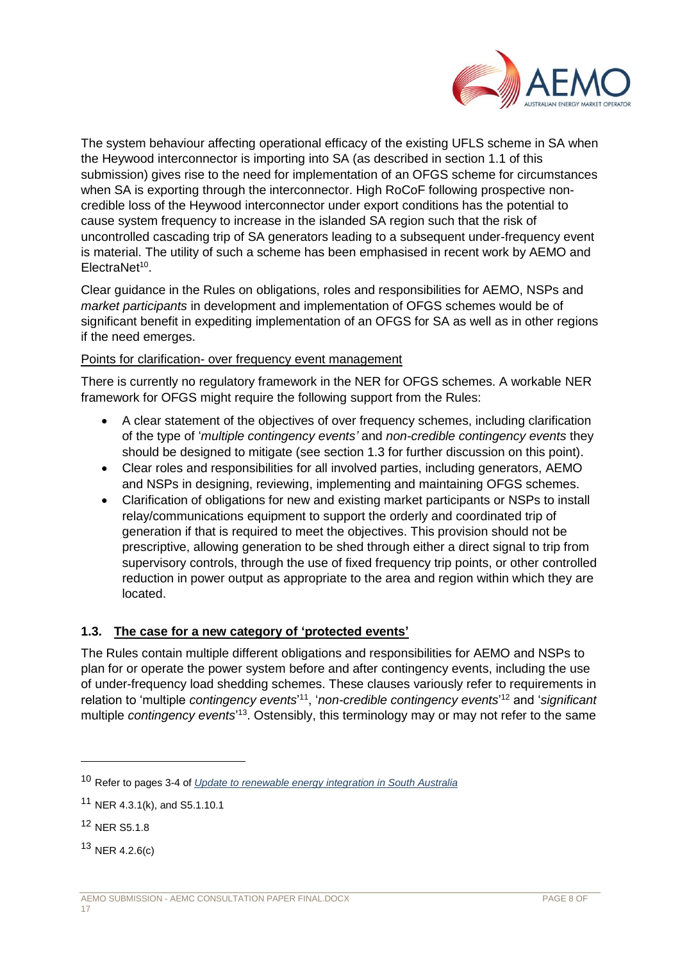

The system behaviour affecting operational efficacy of the existing UFLS scheme in SA when the Heywood interconnector is importing into SA (as described in section 1.1 of this submission) gives rise to the need for implementation of an OFGS scheme for circumstances when SA is exporting through the interconnector. High RoCoF following prospective noncredible loss of the Heywood interconnector under export conditions has the potential to cause system frequency to increase in the islanded SA region such that the risk of uncontrolled cascading trip of SA generators leading to a subsequent under-frequency event is material. The utility of such a scheme has been emphasised in recent work by AEMO and ElectraNet<sup>10</sup>.

Clear guidance in the Rules on obligations, roles and responsibilities for AEMO, NSPs and *market participants* in development and implementation of OFGS schemes would be of significant benefit in expediting implementation of an OFGS for SA as well as in other regions if the need emerges.

### Points for clarification- over frequency event management

There is currently no regulatory framework in the NER for OFGS schemes. A workable NER framework for OFGS might require the following support from the Rules:

- A clear statement of the objectives of over frequency schemes, including clarification of the type of '*multiple contingency events'* and *non-credible contingency events* they should be designed to mitigate (see section 1.3 for further discussion on this point).
- Clear roles and responsibilities for all involved parties, including generators, AEMO and NSPs in designing, reviewing, implementing and maintaining OFGS schemes.
- Clarification of obligations for new and existing market participants or NSPs to install relay/communications equipment to support the orderly and coordinated trip of generation if that is required to meet the objectives. This provision should not be prescriptive, allowing generation to be shed through either a direct signal to trip from supervisory controls, through the use of fixed frequency trip points, or other controlled reduction in power output as appropriate to the area and region within which they are located.

### **1.3. The case for a new category of 'protected events'**

The Rules contain multiple different obligations and responsibilities for AEMO and NSPs to plan for or operate the power system before and after contingency events, including the use of under-frequency load shedding schemes. These clauses variously refer to requirements in relation to 'multiple *contingency events*<sup>11</sup>, 'non-credible contingency events<sup>12</sup> and 'significant multiple *contingency events*' <sup>13</sup>. Ostensibly, this terminology may or may not refer to the same

<sup>10</sup> Refer to pages 3-4 of *[Update to renewable energy integration in South Australia](https://www.aemo.com.au/Electricity/National-Electricity-Market-NEM/Security-and-reliability/-/media/CACEB2122362436DAC2CDD6E8D3E70D0.ashx)*

<sup>11</sup> NER 4.3.1(k), and S5.1.10.1

<sup>12</sup> NER S5.1.8

 $13$  NER 4.2.6(c)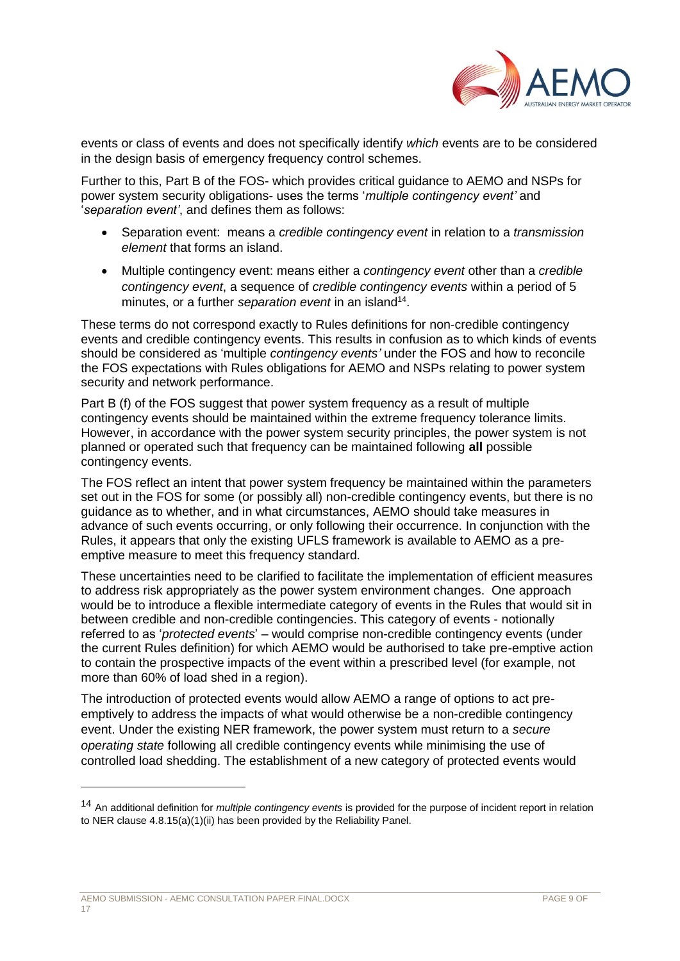

events or class of events and does not specifically identify *which* events are to be considered in the design basis of emergency frequency control schemes.

Further to this, Part B of the FOS- which provides critical guidance to AEMO and NSPs for power system security obligations- uses the terms '*multiple contingency event'* and '*separation event'*, and defines them as follows:

- Separation event: means a *credible contingency event* in relation to a *transmission element* that forms an island.
- Multiple contingency event: means either a *contingency event* other than a *credible contingency event*, a sequence of *credible contingency events* within a period of 5 minutes, or a further *separation event* in an island<sup>14</sup>.

These terms do not correspond exactly to Rules definitions for non-credible contingency events and credible contingency events. This results in confusion as to which kinds of events should be considered as 'multiple *contingency events'* under the FOS and how to reconcile the FOS expectations with Rules obligations for AEMO and NSPs relating to power system security and network performance.

Part B (f) of the FOS suggest that power system frequency as a result of multiple contingency events should be maintained within the extreme frequency tolerance limits. However, in accordance with the power system security principles, the power system is not planned or operated such that frequency can be maintained following **all** possible contingency events.

The FOS reflect an intent that power system frequency be maintained within the parameters set out in the FOS for some (or possibly all) non-credible contingency events, but there is no guidance as to whether, and in what circumstances, AEMO should take measures in advance of such events occurring, or only following their occurrence. In conjunction with the Rules, it appears that only the existing UFLS framework is available to AEMO as a preemptive measure to meet this frequency standard.

These uncertainties need to be clarified to facilitate the implementation of efficient measures to address risk appropriately as the power system environment changes. One approach would be to introduce a flexible intermediate category of events in the Rules that would sit in between credible and non-credible contingencies. This category of events - notionally referred to as '*protected events*' – would comprise non-credible contingency events (under the current Rules definition) for which AEMO would be authorised to take pre-emptive action to contain the prospective impacts of the event within a prescribed level (for example, not more than 60% of load shed in a region).

The introduction of protected events would allow AEMO a range of options to act preemptively to address the impacts of what would otherwise be a non-credible contingency event. Under the existing NER framework, the power system must return to a *secure operating state* following all credible contingency events while minimising the use of controlled load shedding. The establishment of a new category of protected events would

<sup>14</sup> An additional definition for *multiple contingency events* is provided for the purpose of incident report in relation to NER clause 4.8.15(a)(1)(ii) has been provided by the Reliability Panel.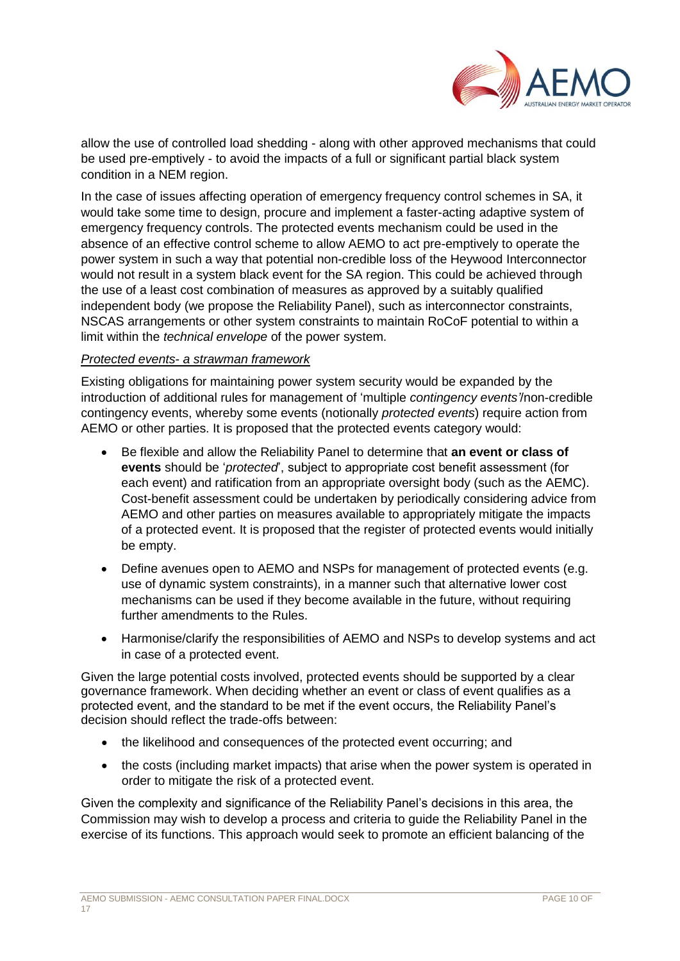

allow the use of controlled load shedding - along with other approved mechanisms that could be used pre-emptively - to avoid the impacts of a full or significant partial black system condition in a NEM region.

In the case of issues affecting operation of emergency frequency control schemes in SA, it would take some time to design, procure and implement a faster-acting adaptive system of emergency frequency controls. The protected events mechanism could be used in the absence of an effective control scheme to allow AEMO to act pre-emptively to operate the power system in such a way that potential non-credible loss of the Heywood Interconnector would not result in a system black event for the SA region. This could be achieved through the use of a least cost combination of measures as approved by a suitably qualified independent body (we propose the Reliability Panel), such as interconnector constraints, NSCAS arrangements or other system constraints to maintain RoCoF potential to within a limit within the *technical envelope* of the power system.

#### *Protected events- a strawman framework*

Existing obligations for maintaining power system security would be expanded by the introduction of additional rules for management of 'multiple *contingency events'*/non-credible contingency events, whereby some events (notionally *protected events*) require action from AEMO or other parties. It is proposed that the protected events category would:

- Be flexible and allow the Reliability Panel to determine that **an event or class of events** should be '*protected*', subject to appropriate cost benefit assessment (for each event) and ratification from an appropriate oversight body (such as the AEMC). Cost-benefit assessment could be undertaken by periodically considering advice from AEMO and other parties on measures available to appropriately mitigate the impacts of a protected event. It is proposed that the register of protected events would initially be empty.
- Define avenues open to AEMO and NSPs for management of protected events (e.g. use of dynamic system constraints), in a manner such that alternative lower cost mechanisms can be used if they become available in the future, without requiring further amendments to the Rules.
- Harmonise/clarify the responsibilities of AEMO and NSPs to develop systems and act in case of a protected event.

Given the large potential costs involved, protected events should be supported by a clear governance framework. When deciding whether an event or class of event qualifies as a protected event, and the standard to be met if the event occurs, the Reliability Panel's decision should reflect the trade-offs between:

- the likelihood and consequences of the protected event occurring; and
- the costs (including market impacts) that arise when the power system is operated in order to mitigate the risk of a protected event.

Given the complexity and significance of the Reliability Panel's decisions in this area, the Commission may wish to develop a process and criteria to guide the Reliability Panel in the exercise of its functions. This approach would seek to promote an efficient balancing of the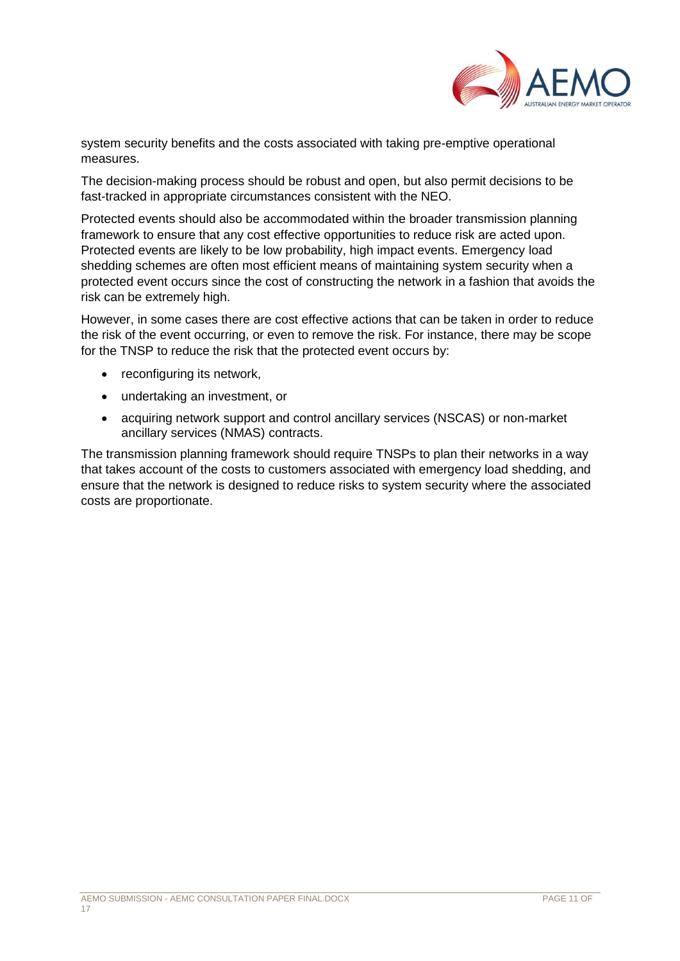

system security benefits and the costs associated with taking pre-emptive operational measures.

The decision-making process should be robust and open, but also permit decisions to be fast-tracked in appropriate circumstances consistent with the NEO.

Protected events should also be accommodated within the broader transmission planning framework to ensure that any cost effective opportunities to reduce risk are acted upon. Protected events are likely to be low probability, high impact events. Emergency load shedding schemes are often most efficient means of maintaining system security when a protected event occurs since the cost of constructing the network in a fashion that avoids the risk can be extremely high.

However, in some cases there are cost effective actions that can be taken in order to reduce the risk of the event occurring, or even to remove the risk. For instance, there may be scope for the TNSP to reduce the risk that the protected event occurs by:

- reconfiguring its network,
- undertaking an investment, or
- acquiring network support and control ancillary services (NSCAS) or non-market ancillary services (NMAS) contracts.

The transmission planning framework should require TNSPs to plan their networks in a way that takes account of the costs to customers associated with emergency load shedding, and ensure that the network is designed to reduce risks to system security where the associated costs are proportionate.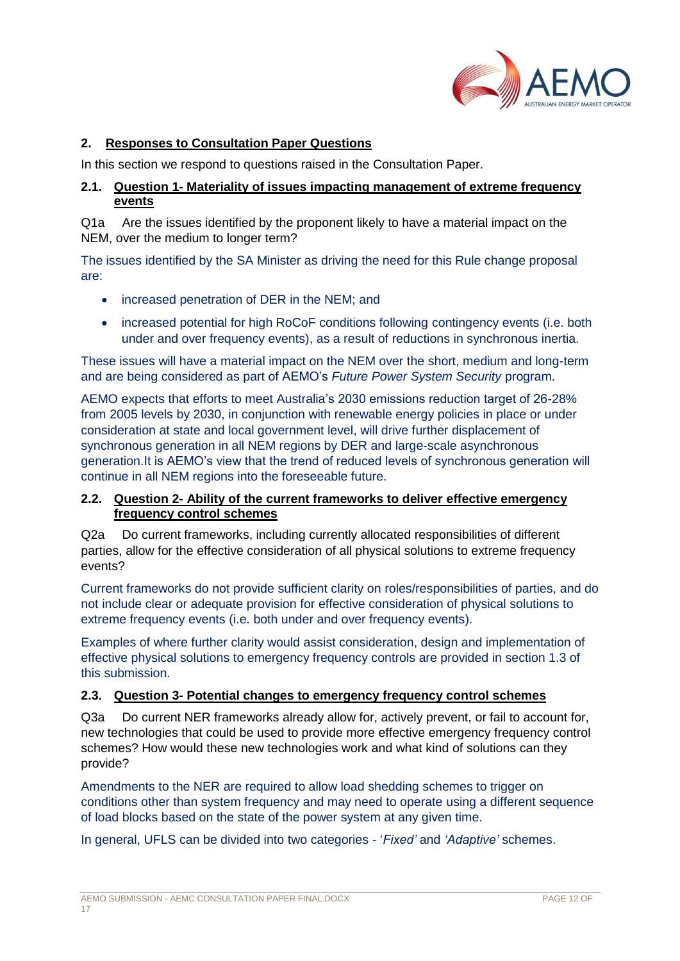

# **2. Responses to Consultation Paper Questions**

In this section we respond to questions raised in the Consultation Paper.

# **2.1. Question 1- Materiality of issues impacting management of extreme frequency events**

Q1a Are the issues identified by the proponent likely to have a material impact on the NEM, over the medium to longer term?

The issues identified by the SA Minister as driving the need for this Rule change proposal are:

- increased penetration of DER in the NEM; and
- increased potential for high RoCoF conditions following contingency events (i.e. both under and over frequency events), as a result of reductions in synchronous inertia.

These issues will have a material impact on the NEM over the short, medium and long-term and are being considered as part of AEMO's *Future Power System Security* program.

AEMO expects that efforts to meet Australia's 2030 emissions reduction target of 26-28% from 2005 levels by 2030, in conjunction with renewable energy policies in place or under consideration at state and local government level, will drive further displacement of synchronous generation in all NEM regions by DER and large-scale asynchronous generation.It is AEMO's view that the trend of reduced levels of synchronous generation will continue in all NEM regions into the foreseeable future.

### **2.2. Question 2- Ability of the current frameworks to deliver effective emergency frequency control schemes**

Q2a Do current frameworks, including currently allocated responsibilities of different parties, allow for the effective consideration of all physical solutions to extreme frequency events?

Current frameworks do not provide sufficient clarity on roles/responsibilities of parties, and do not include clear or adequate provision for effective consideration of physical solutions to extreme frequency events (i.e. both under and over frequency events).

Examples of where further clarity would assist consideration, design and implementation of effective physical solutions to emergency frequency controls are provided in section 1.3 of this submission.

### **2.3. Question 3- Potential changes to emergency frequency control schemes**

Q3a Do current NER frameworks already allow for, actively prevent, or fail to account for, new technologies that could be used to provide more effective emergency frequency control schemes? How would these new technologies work and what kind of solutions can they provide?

Amendments to the NER are required to allow load shedding schemes to trigger on conditions other than system frequency and may need to operate using a different sequence of load blocks based on the state of the power system at any given time.

In general, UFLS can be divided into two categories - '*Fixed'* and *'Adaptive'* schemes.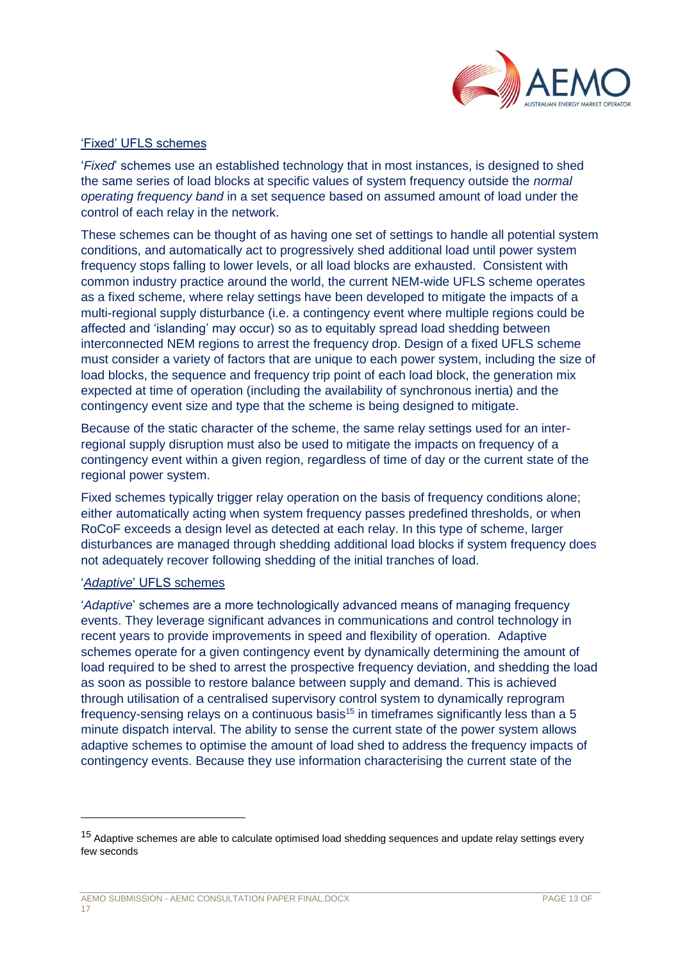

# 'Fixed' UFLS schemes

'*Fixed*' schemes use an established technology that in most instances, is designed to shed the same series of load blocks at specific values of system frequency outside the *normal operating frequency band* in a set sequence based on assumed amount of load under the control of each relay in the network.

These schemes can be thought of as having one set of settings to handle all potential system conditions, and automatically act to progressively shed additional load until power system frequency stops falling to lower levels, or all load blocks are exhausted. Consistent with common industry practice around the world, the current NEM-wide UFLS scheme operates as a fixed scheme, where relay settings have been developed to mitigate the impacts of a multi-regional supply disturbance (i.e. a contingency event where multiple regions could be affected and 'islanding' may occur) so as to equitably spread load shedding between interconnected NEM regions to arrest the frequency drop. Design of a fixed UFLS scheme must consider a variety of factors that are unique to each power system, including the size of load blocks, the sequence and frequency trip point of each load block, the generation mix expected at time of operation (including the availability of synchronous inertia) and the contingency event size and type that the scheme is being designed to mitigate.

Because of the static character of the scheme, the same relay settings used for an interregional supply disruption must also be used to mitigate the impacts on frequency of a contingency event within a given region, regardless of time of day or the current state of the regional power system.

Fixed schemes typically trigger relay operation on the basis of frequency conditions alone; either automatically acting when system frequency passes predefined thresholds, or when RoCoF exceeds a design level as detected at each relay. In this type of scheme, larger disturbances are managed through shedding additional load blocks if system frequency does not adequately recover following shedding of the initial tranches of load.

#### '*Adaptive*' UFLS schemes

l

'*Adaptive*' schemes are a more technologically advanced means of managing frequency events. They leverage significant advances in communications and control technology in recent years to provide improvements in speed and flexibility of operation. Adaptive schemes operate for a given contingency event by dynamically determining the amount of load required to be shed to arrest the prospective frequency deviation, and shedding the load as soon as possible to restore balance between supply and demand. This is achieved through utilisation of a centralised supervisory control system to dynamically reprogram frequency-sensing relays on a continuous basis<sup>15</sup> in timeframes significantly less than a 5 minute dispatch interval. The ability to sense the current state of the power system allows adaptive schemes to optimise the amount of load shed to address the frequency impacts of contingency events. Because they use information characterising the current state of the

<sup>&</sup>lt;sup>15</sup> Adaptive schemes are able to calculate optimised load shedding sequences and update relay settings every few seconds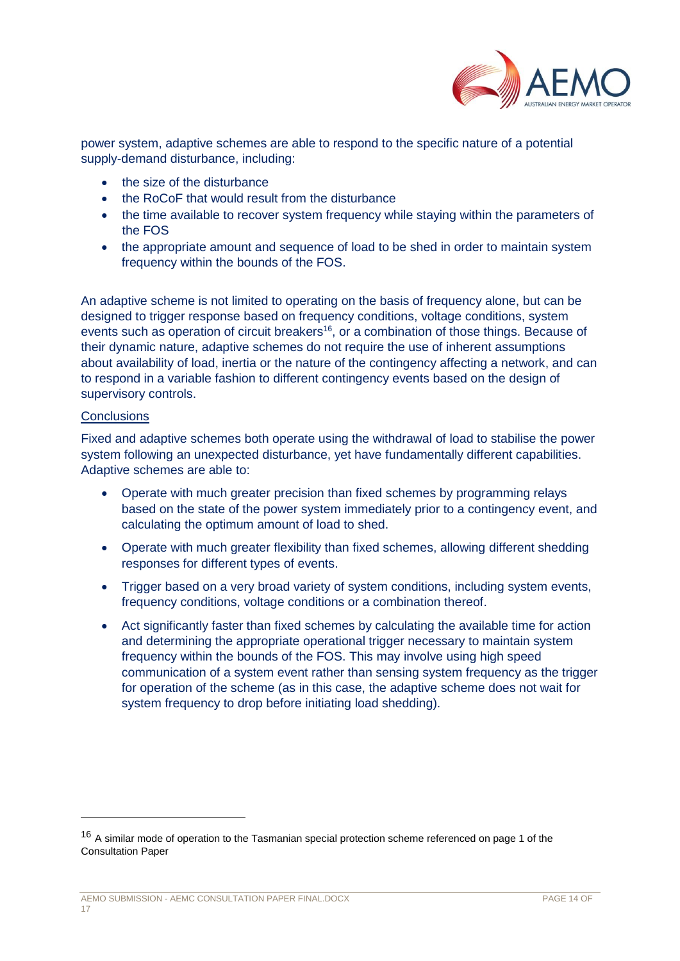

power system, adaptive schemes are able to respond to the specific nature of a potential supply-demand disturbance, including:

- the size of the disturbance
- the RoCoF that would result from the disturbance
- the time available to recover system frequency while staying within the parameters of the FOS
- the appropriate amount and sequence of load to be shed in order to maintain system frequency within the bounds of the FOS.

An adaptive scheme is not limited to operating on the basis of frequency alone, but can be designed to trigger response based on frequency conditions, voltage conditions, system events such as operation of circuit breakers<sup>16</sup>, or a combination of those things. Because of their dynamic nature, adaptive schemes do not require the use of inherent assumptions about availability of load, inertia or the nature of the contingency affecting a network, and can to respond in a variable fashion to different contingency events based on the design of supervisory controls.

#### **Conclusions**

Fixed and adaptive schemes both operate using the withdrawal of load to stabilise the power system following an unexpected disturbance, yet have fundamentally different capabilities. Adaptive schemes are able to:

- Operate with much greater precision than fixed schemes by programming relays based on the state of the power system immediately prior to a contingency event, and calculating the optimum amount of load to shed.
- Operate with much greater flexibility than fixed schemes, allowing different shedding responses for different types of events.
- Trigger based on a very broad variety of system conditions, including system events, frequency conditions, voltage conditions or a combination thereof.
- Act significantly faster than fixed schemes by calculating the available time for action and determining the appropriate operational trigger necessary to maintain system frequency within the bounds of the FOS. This may involve using high speed communication of a system event rather than sensing system frequency as the trigger for operation of the scheme (as in this case, the adaptive scheme does not wait for system frequency to drop before initiating load shedding).

<sup>&</sup>lt;sup>16</sup> A similar mode of operation to the Tasmanian special protection scheme referenced on page 1 of the Consultation Paper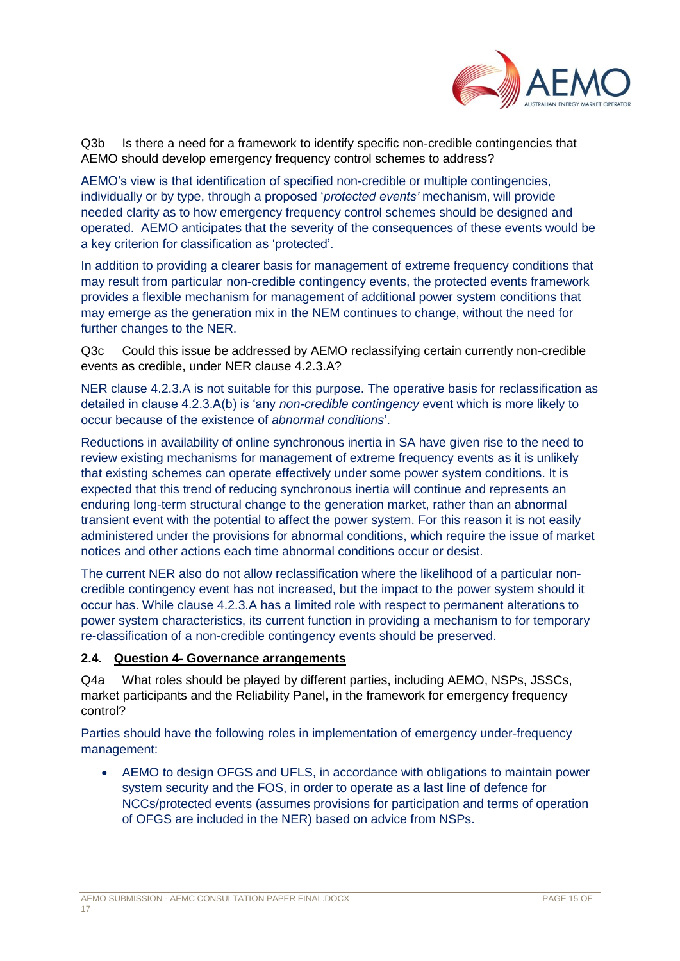

Q3b Is there a need for a framework to identify specific non-credible contingencies that AEMO should develop emergency frequency control schemes to address?

AEMO's view is that identification of specified non-credible or multiple contingencies, individually or by type, through a proposed '*protected events'* mechanism, will provide needed clarity as to how emergency frequency control schemes should be designed and operated. AEMO anticipates that the severity of the consequences of these events would be a key criterion for classification as 'protected'.

In addition to providing a clearer basis for management of extreme frequency conditions that may result from particular non-credible contingency events, the protected events framework provides a flexible mechanism for management of additional power system conditions that may emerge as the generation mix in the NEM continues to change, without the need for further changes to the NER.

Q3c Could this issue be addressed by AEMO reclassifying certain currently non-credible events as credible, under NER clause 4.2.3.A?

NER clause 4.2.3.A is not suitable for this purpose. The operative basis for reclassification as detailed in clause 4.2.3.A(b) is 'any *non-credible contingency* event which is more likely to occur because of the existence of *abnormal conditions*'.

Reductions in availability of online synchronous inertia in SA have given rise to the need to review existing mechanisms for management of extreme frequency events as it is unlikely that existing schemes can operate effectively under some power system conditions. It is expected that this trend of reducing synchronous inertia will continue and represents an enduring long-term structural change to the generation market, rather than an abnormal transient event with the potential to affect the power system. For this reason it is not easily administered under the provisions for abnormal conditions, which require the issue of market notices and other actions each time abnormal conditions occur or desist.

The current NER also do not allow reclassification where the likelihood of a particular noncredible contingency event has not increased, but the impact to the power system should it occur has. While clause 4.2.3.A has a limited role with respect to permanent alterations to power system characteristics, its current function in providing a mechanism to for temporary re-classification of a non-credible contingency events should be preserved.

### **2.4. Question 4- Governance arrangements**

Q4a What roles should be played by different parties, including AEMO, NSPs, JSSCs, market participants and the Reliability Panel, in the framework for emergency frequency control?

Parties should have the following roles in implementation of emergency under-frequency management:

 AEMO to design OFGS and UFLS, in accordance with obligations to maintain power system security and the FOS, in order to operate as a last line of defence for NCCs/protected events (assumes provisions for participation and terms of operation of OFGS are included in the NER) based on advice from NSPs.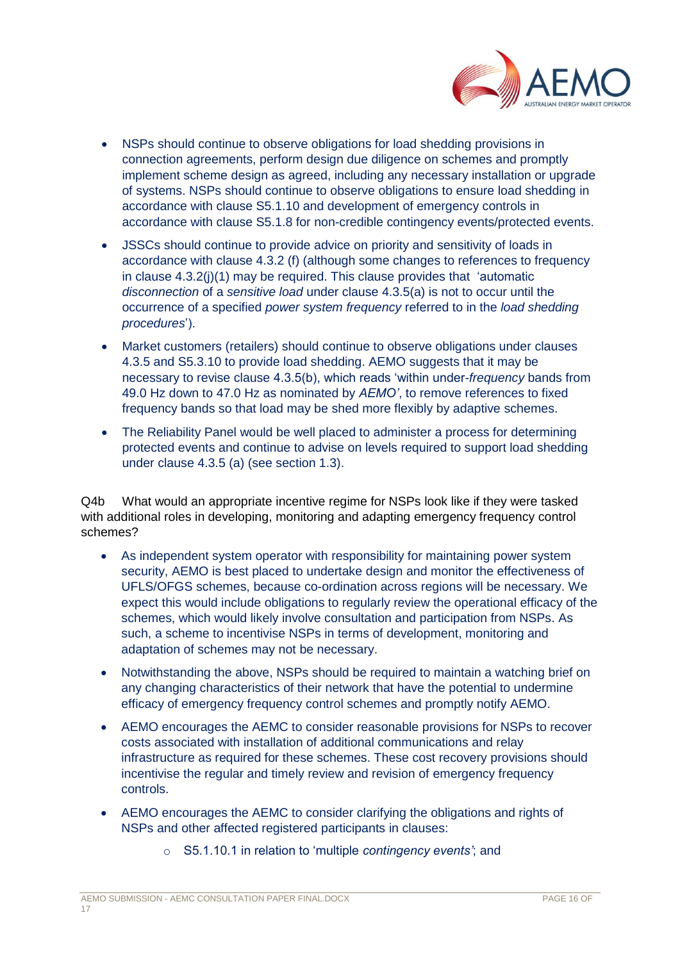

- NSPs should continue to observe obligations for load shedding provisions in connection agreements, perform design due diligence on schemes and promptly implement scheme design as agreed, including any necessary installation or upgrade of systems. NSPs should continue to observe obligations to ensure load shedding in accordance with clause S5.1.10 and development of emergency controls in accordance with clause S5.1.8 for non-credible contingency events/protected events.
- JSSCs should continue to provide advice on priority and sensitivity of loads in accordance with clause 4.3.2 (f) (although some changes to references to frequency in clause 4.3.2(j)(1) may be required. This clause provides that 'automatic *disconnection* of a *sensitive load* under clause 4.3.5(a) is not to occur until the occurrence of a specified *power system frequency* referred to in the *load shedding procedures*').
- Market customers (retailers) should continue to observe obligations under clauses 4.3.5 and S5.3.10 to provide load shedding. AEMO suggests that it may be necessary to revise clause 4.3.5(b), which reads 'within under-*frequency* bands from 49.0 Hz down to 47.0 Hz as nominated by *AEMO'*, to remove references to fixed frequency bands so that load may be shed more flexibly by adaptive schemes.
- The Reliability Panel would be well placed to administer a process for determining protected events and continue to advise on levels required to support load shedding under clause 4.3.5 (a) (see section 1.3).

Q4b What would an appropriate incentive regime for NSPs look like if they were tasked with additional roles in developing, monitoring and adapting emergency frequency control schemes?

- As independent system operator with responsibility for maintaining power system security, AEMO is best placed to undertake design and monitor the effectiveness of UFLS/OFGS schemes, because co-ordination across regions will be necessary. We expect this would include obligations to regularly review the operational efficacy of the schemes, which would likely involve consultation and participation from NSPs. As such, a scheme to incentivise NSPs in terms of development, monitoring and adaptation of schemes may not be necessary.
- Notwithstanding the above, NSPs should be required to maintain a watching brief on any changing characteristics of their network that have the potential to undermine efficacy of emergency frequency control schemes and promptly notify AEMO.
- AEMO encourages the AEMC to consider reasonable provisions for NSPs to recover costs associated with installation of additional communications and relay infrastructure as required for these schemes. These cost recovery provisions should incentivise the regular and timely review and revision of emergency frequency controls.
- AEMO encourages the AEMC to consider clarifying the obligations and rights of NSPs and other affected registered participants in clauses:
	- o S5.1.10.1 in relation to 'multiple *contingency events'*; and